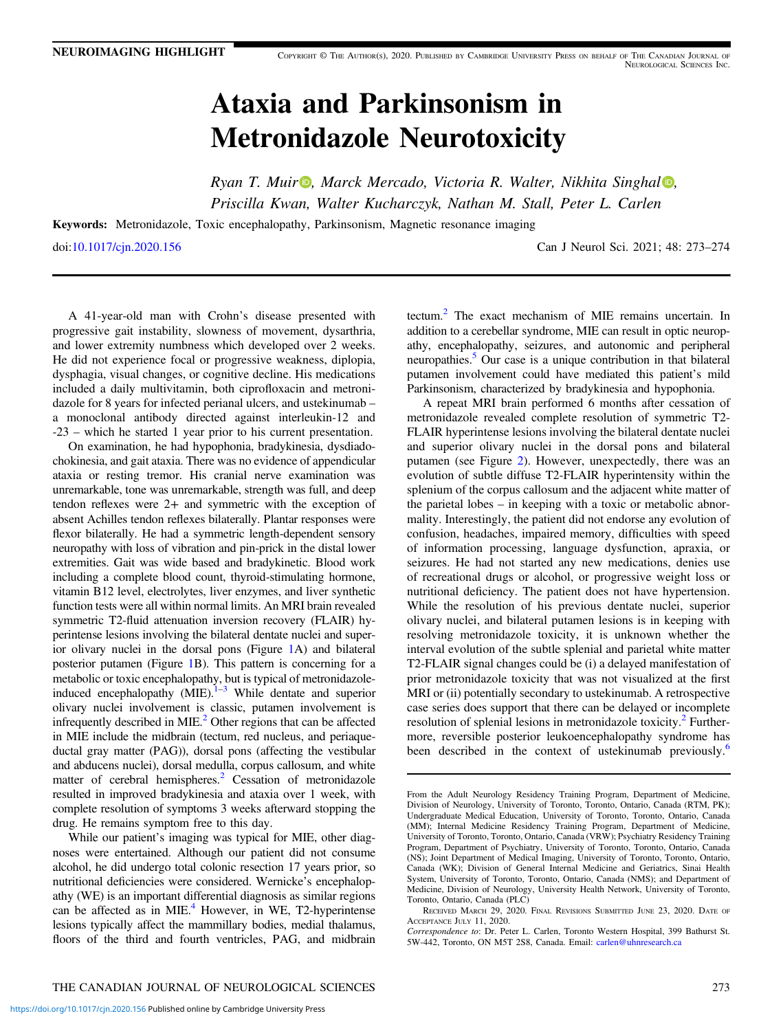# Ataxia and Parkinsonism in Metronidazole Neurotoxicity

Ryan T. Mui[r](https://orcid.org/0000-0002-9349-1069) $\bullet$  $\bullet$  $\bullet$ , Marck Mercado, Victoria R. Walter, Nikhita Singhal  $\bullet$ , Priscilla Kwan, Walter Kucharczyk, Nathan M. Stall, Peter L. Carlen

Keywords: Metronidazole, Toxic encephalopathy, Parkinsonism, Magnetic resonance imaging doi:[10.1017/cjn.2020.156](https://doi.org/10.1017/cjn.2020.156) Can J Neurol Sci. 2021; 48: 273–274

A 41-year-old man with Crohn's disease presented with progressive gait instability, slowness of movement, dysarthria, and lower extremity numbness which developed over 2 weeks. He did not experience focal or progressive weakness, diplopia, dysphagia, visual changes, or cognitive decline. His medications included a daily multivitamin, both ciprofloxacin and metronidazole for 8 years for infected perianal ulcers, and ustekinumab – a monoclonal antibody directed against interleukin-12 and -23 – which he started 1 year prior to his current presentation.

On examination, he had hypophonia, bradykinesia, dysdiadochokinesia, and gait ataxia. There was no evidence of appendicular ataxia or resting tremor. His cranial nerve examination was unremarkable, tone was unremarkable, strength was full, and deep tendon reflexes were 2+ and symmetric with the exception of absent Achilles tendon reflexes bilaterally. Plantar responses were flexor bilaterally. He had a symmetric length-dependent sensory neuropathy with loss of vibration and pin-prick in the distal lower extremities. Gait was wide based and bradykinetic. Blood work including a complete blood count, thyroid-stimulating hormone, vitamin B12 level, electrolytes, liver enzymes, and liver synthetic function tests were all within normal limits. An MRI brain revealed symmetric T2-fluid attenuation inversion recovery (FLAIR) hyperintense lesions involving the bilateral dentate nuclei and superior olivary nuclei in the dorsal pons (Figure [1](#page-1-0)A) and bilateral posterior putamen (Figure [1](#page-1-0)B). This pattern is concerning for a metabolic or toxic encephalopathy, but is typical of metronidazoleinduced encephalopathy  $(MIE).<sup>1–3</sup>$  $(MIE).<sup>1–3</sup>$  $(MIE).<sup>1–3</sup>$  While dentate and superior olivary nuclei involvement is classic, putamen involvement is infrequently described in  $MIE<sup>2</sup>$  $MIE<sup>2</sup>$  $MIE<sup>2</sup>$  Other regions that can be affected in MIE include the midbrain (tectum, red nucleus, and periaqueductal gray matter (PAG)), dorsal pons (affecting the vestibular and abducens nuclei), dorsal medulla, corpus callosum, and white matter of cerebral hemispheres.<sup>2</sup> Cessation of metronidazole resulted in improved bradykinesia and ataxia over 1 week, with complete resolution of symptoms 3 weeks afterward stopping the drug. He remains symptom free to this day.

While our patient's imaging was typical for MIE, other diagnoses were entertained. Although our patient did not consume alcohol, he did undergo total colonic resection 17 years prior, so nutritional deficiencies were considered. Wernicke's encephalopathy (WE) is an important differential diagnosis as similar regions can be affected as in MIE. $<sup>4</sup>$  However, in WE, T2-hyperintense</sup> lesions typically affect the mammillary bodies, medial thalamus, floors of the third and fourth ventricles, PAG, and midbrain tectum[.2](#page-1-0) The exact mechanism of MIE remains uncertain. In addition to a cerebellar syndrome, MIE can result in optic neuropathy, encephalopathy, seizures, and autonomic and peripheral neuropathies.<sup>5</sup> Our case is a unique contribution in that bilateral putamen involvement could have mediated this patient's mild Parkinsonism, characterized by bradykinesia and hypophonia.

A repeat MRI brain performed 6 months after cessation of metronidazole revealed complete resolution of symmetric T2- FLAIR hyperintense lesions involving the bilateral dentate nuclei and superior olivary nuclei in the dorsal pons and bilateral putamen (see Figure [2](#page-1-0)). However, unexpectedly, there was an evolution of subtle diffuse T2-FLAIR hyperintensity within the splenium of the corpus callosum and the adjacent white matter of the parietal lobes – in keeping with a toxic or metabolic abnormality. Interestingly, the patient did not endorse any evolution of confusion, headaches, impaired memory, difficulties with speed of information processing, language dysfunction, apraxia, or seizures. He had not started any new medications, denies use of recreational drugs or alcohol, or progressive weight loss or nutritional deficiency. The patient does not have hypertension. While the resolution of his previous dentate nuclei, superior olivary nuclei, and bilateral putamen lesions is in keeping with resolving metronidazole toxicity, it is unknown whether the interval evolution of the subtle splenial and parietal white matter T2-FLAIR signal changes could be (i) a delayed manifestation of prior metronidazole toxicity that was not visualized at the first MRI or (ii) potentially secondary to ustekinumab. A retrospective case series does support that there can be delayed or incomplete resolution of splenial lesions in metronidazole toxicity. $^{2}$  $^{2}$  $^{2}$  Furthermore, reversible posterior leukoencephalopathy syndrome has been described in the context of ustekinumab previously.<sup>[6](#page-1-0)</sup>

From the Adult Neurology Residency Training Program, Department of Medicine, Division of Neurology, University of Toronto, Toronto, Ontario, Canada (RTM, PK); Undergraduate Medical Education, University of Toronto, Toronto, Ontario, Canada (MM); Internal Medicine Residency Training Program, Department of Medicine, University of Toronto, Toronto, Ontario, Canada (VRW); Psychiatry Residency Training Program, Department of Psychiatry, University of Toronto, Toronto, Ontario, Canada (NS); Joint Department of Medical Imaging, University of Toronto, Toronto, Ontario, Canada (WK); Division of General Internal Medicine and Geriatrics, Sinai Health System, University of Toronto, Toronto, Ontario, Canada (NMS); and Department of Medicine, Division of Neurology, University Health Network, University of Toronto, Toronto, Ontario, Canada (PLC)

RECEIVED MARCH 29, 2020. FINAL REVISIONS SUBMITTED JUNE 23, 2020. DATE OF ACCEPTANCE JULY 11, 2020.

Correspondence to: Dr. Peter L. Carlen, Toronto Western Hospital, 399 Bathurst St. 5W-442, Toronto, ON M5T 2S8, Canada. Email: [carlen@uhnresearch.ca](mailto:carlen@uhnresearch.ca)